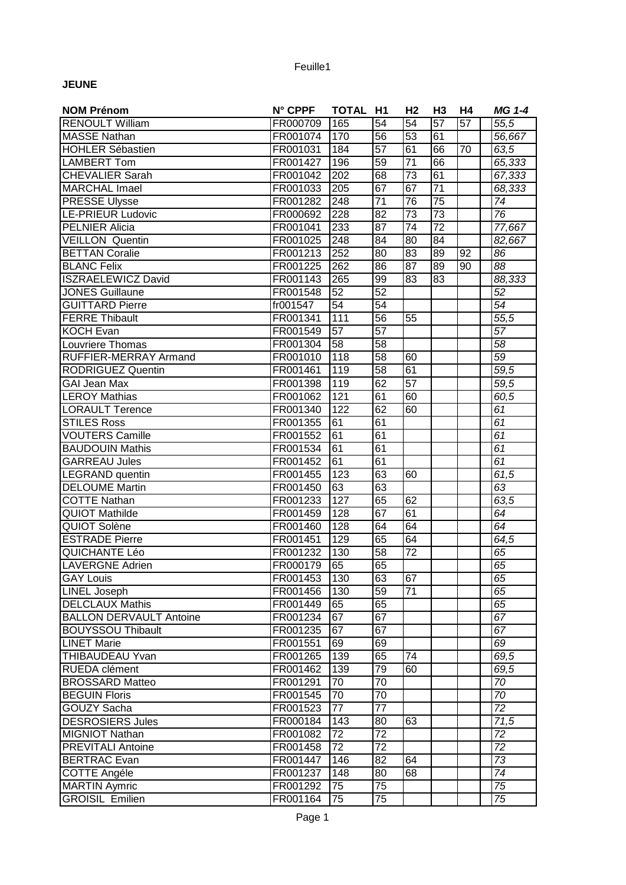## Feuille1

## **JEUNE**

| <b>NOM Prénom</b>              | N° CPPF  | TOTAL H1        |                 | H <sub>2</sub>  | H <sub>3</sub>  | Η4              | <b>MG 1-4</b>         |
|--------------------------------|----------|-----------------|-----------------|-----------------|-----------------|-----------------|-----------------------|
| <b>RENOULT William</b>         | FR000709 | 165             | 54              | $\overline{54}$ | $\overline{57}$ | $\overline{57}$ | $\overline{55,5}$     |
| <b>MASSE Nathan</b>            | FR001074 | 170             | 56              | 53              | 61              |                 | 56,667                |
| <b>HOHLER Sébastien</b>        | FR001031 | 184             | $\overline{57}$ | 61              | 66              | 70              | 63,5                  |
| <b>LAMBERT Tom</b>             | FR001427 | 196             | 59              | $\overline{71}$ | 66              |                 | 65,333                |
| <b>CHEVALIER Sarah</b>         | FR001042 | 202             | 68              | $\overline{73}$ | 61              |                 | 67,333                |
| <b>MARCHAL Imael</b>           | FR001033 | 205             | 67              | 67              | $\overline{71}$ |                 | 68,333                |
| <b>PRESSE Ulysse</b>           | FR001282 | 248             | 71              | 76              | $\overline{75}$ |                 | 74                    |
| <b>LE-PRIEUR Ludovic</b>       | FR000692 | 228             | $\overline{82}$ | 73              | 73              |                 | 76                    |
| <b>PELNIER Alicia</b>          | FR001041 | 233             | $\overline{87}$ | $\overline{74}$ | $\overline{72}$ |                 | 77,667                |
| <b>VEILLON Quentin</b>         | FR001025 | 248             | 84              | $\overline{80}$ | $\overline{84}$ |                 | 82,667                |
| <b>BETTAN Coralie</b>          | FR001213 | 252             | 80              | $\overline{83}$ | 89              | $\overline{92}$ | 86                    |
| <b>BLANC Felix</b>             | FR001225 | 262             | 86              | 87              | 89              | $\overline{90}$ | $\overline{88}$       |
| <b>ISZRAELEWICZ David</b>      | FR001143 | 265             | 99              | $\overline{83}$ | 83              |                 | 88,333                |
| <b>JONES Guillaune</b>         | FR001548 | 52              | 52              |                 |                 |                 | 52                    |
| <b>GUITTARD Pierre</b>         | fr001547 | 54              | $\overline{54}$ |                 |                 |                 | $\overline{54}$       |
| <b>FERRE Thibault</b>          | FR001341 | 111             | 56              | 55              |                 |                 | 55,5                  |
| <b>KOCH Evan</b>               | FR001549 | 57              | 57              |                 |                 |                 | 57                    |
| Louvriere Thomas               | FR001304 | 58              | 58              |                 |                 |                 | 58                    |
| RUFFIER-MERRAY Armand          | FR001010 | 118             | 58              | 60              |                 |                 | 59                    |
| <b>RODRIGUEZ Quentin</b>       | FR001461 | 119             | 58              | 61              |                 |                 | 59,5                  |
| <b>GAI Jean Max</b>            | FR001398 | 119             | 62              | $\overline{57}$ |                 |                 | 59,5                  |
| <b>LEROY Mathias</b>           | FR001062 | 121             | 61              | 60              |                 |                 | 60,5                  |
| <b>LORAULT Terence</b>         | FR001340 | 122             | 62              | 60              |                 |                 | 61                    |
| <b>STILES Ross</b>             | FR001355 | 61              | 61              |                 |                 |                 | 61                    |
| <b>VOUTERS Camille</b>         | FR001552 | 61              | $\overline{61}$ |                 |                 |                 | $\overline{61}$       |
| <b>BAUDOUIN Mathis</b>         | FR001534 | 61              | 61              |                 |                 |                 | 61                    |
| <b>GARREAU Jules</b>           | FR001452 | 61              | 61              |                 |                 |                 | $\overline{61}$       |
| LEGRAND quentin                | FR001455 | 123             | 63              | 60              |                 |                 | 61,5                  |
| <b>DELOUME Martin</b>          | FR001450 | 63              | 63              |                 |                 |                 | 63                    |
| <b>COTTE Nathan</b>            | FR001233 | 127             | 65              | 62              |                 |                 | 63,5                  |
| <b>QUIOT Mathilde</b>          | FR001459 | 128             | 67              | 61              |                 |                 | 64                    |
| QUIOT Solène                   | FR001460 | 128             | 64              | 64              |                 |                 | 64                    |
| <b>ESTRADE Pierre</b>          | FR001451 | 129             | 65              | 64              |                 |                 | 64,5                  |
| QUICHANTE Léo                  | FR001232 | 130             | 58              | 72              |                 |                 | 65                    |
| <b>LAVERGNE Adrien</b>         | FR000179 | 65              | 65              |                 |                 |                 | 65                    |
| <b>GAY Louis</b>               | FR001453 | 130             | 63              | 67              |                 |                 | 65                    |
| <b>LINEL Joseph</b>            | FR001456 | 130             | 59              | $\overline{71}$ |                 |                 | 65                    |
| <b>DELCLAUX Mathis</b>         | FR001449 | 65              | 65              |                 |                 |                 | 65                    |
| <b>BALLON DERVAULT Antoine</b> | FR001234 | 67              | 67              |                 |                 |                 | 67                    |
| <b>BOUYSSOU Thibault</b>       | FR001235 | 67              | 67              |                 |                 |                 | 67                    |
| <b>LINET Marie</b>             | FR001551 | 69              | 69              |                 |                 |                 | 69                    |
| <b>THIBAUDEAU Yvan</b>         | FR001265 | 139             | 65              | 74              |                 |                 | 69,5                  |
| RUEDA clément                  | FR001462 | 139             | 79              | 60              |                 |                 | 69,5                  |
| <b>BROSSARD Matteo</b>         | FR001291 | 70              | 70              |                 |                 |                 | 70                    |
| <b>BEGUIN Floris</b>           | FR001545 | 70              | $\overline{70}$ |                 |                 |                 | 70                    |
| GOUZY Sacha                    | FR001523 | 77              | 77              |                 |                 |                 | $\overline{72}$       |
| <b>DESROSIERS Jules</b>        | FR000184 | 143             | 80              | 63              |                 |                 | 71,5                  |
| <b>MIGNIOT Nathan</b>          | FR001082 | $\overline{7}2$ | 72              |                 |                 |                 |                       |
| <b>PREVITALI Antoine</b>       | FR001458 | 72              | 72              |                 |                 |                 | 72<br>$\overline{72}$ |
| <b>BERTRAC</b> Evan            | FR001447 | 146             | 82              | 64              |                 |                 | $\overline{73}$       |
| <b>COTTE Angéle</b>            | FR001237 | 148             | 80              | 68              |                 |                 | $\overline{74}$       |
| <b>MARTIN Aymric</b>           | FR001292 | 75              | 75              |                 |                 |                 | 75                    |
| <b>GROISIL Emilien</b>         | FR001164 | 75              | 75              |                 |                 |                 | 75                    |
|                                |          |                 |                 |                 |                 |                 |                       |